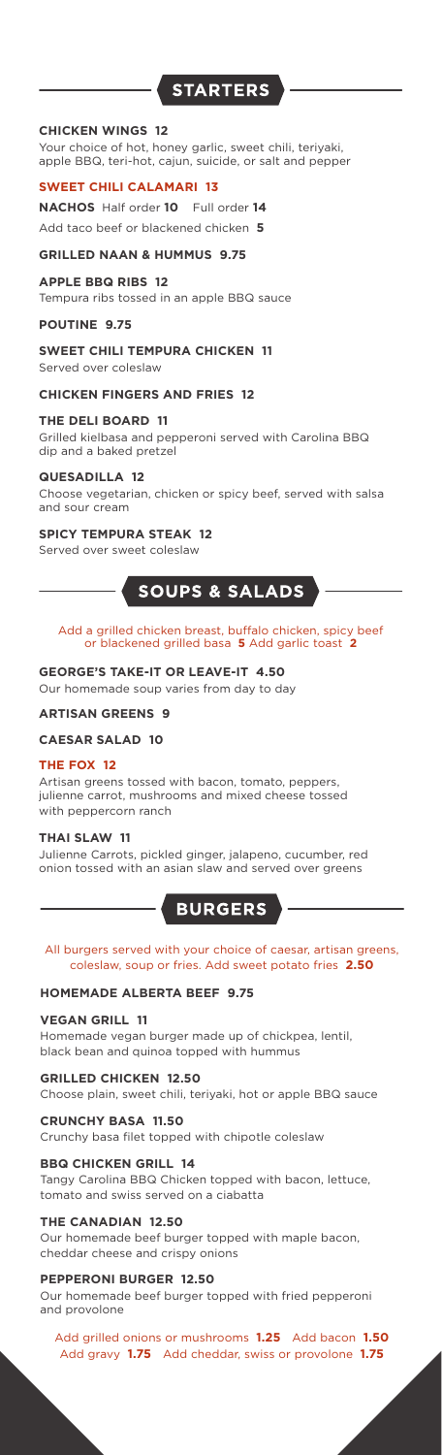# **STARTERS**

#### **CHICKEN WINGS 12**

Your choice of hot, honey garlic, sweet chili, teriyaki, apple BBQ, teri-hot, cajun, suicide, or salt and pepper

#### **SWEET CHILI CALAMARI 13**

**NACHOS** Half order **10** Full order **14** Add taco beef or blackened chicken **5**

#### **GRILLED NAAN & HUMMUS 9.75**

#### **APPLE BBQ RIBS 12**

Tempura ribs tossed in an apple BBQ sauce

#### **POUTINE 9.75**

#### **SWEET CHILI TEMPURA CHICKEN 11**

Served over coleslaw

**CHICKEN FINGERS AND FRIES 12**

#### **THE DELI BOARD 11**

Grilled kielbasa and pepperoni served with Carolina BBQ dip and a baked pretzel

#### **QUESADILLA 12**

Choose vegetarian, chicken or spicy beef, served with salsa and sour cream

#### **SPICY TEMPURA STEAK 12**

Served over sweet coleslaw

# SOUPS & SALADS

#### Add a grilled chicken breast, buffalo chicken, spicy beef or blackened grilled basa **5** Add garlic toast **2**

#### **GEORGE'S TAKE-IT OR LEAVE-IT 4.50**

Our homemade soup varies from day to day

# **ARTISAN GREENS 9**

#### **CAESAR SALAD 10**

#### **THE FOX 12**

Artisan greens tossed with bacon, tomato, peppers, julienne carrot, mushrooms and mixed cheese tossed with peppercorn ranch

#### **THAI SLAW 11**

Julienne Carrots, pickled ginger, jalapeno, cucumber, red onion tossed with an asian slaw and served over greens

# **BURGERS**

#### All burgers served with your choice of caesar, artisan greens, coleslaw, soup or fries. Add sweet potato fries **2.50**

#### **HOMEMADE ALBERTA BEEF 9.75**

#### **VEGAN GRILL 11**

Homemade vegan burger made up of chickpea, lentil, black bean and quinoa topped with hummus

**GRILLED CHICKEN 12.50**

Choose plain, sweet chili, teriyaki, hot or apple BBQ sauce

## **CRUNCHY BASA 11.50**

Crunchy basa filet topped with chipotle coleslaw

#### **BBQ CHICKEN GRILL 14**

Tangy Carolina BBQ Chicken topped with bacon, lettuce, tomato and swiss served on a ciabatta

#### **THE CANADIAN 12.50**

Our homemade beef burger topped with maple bacon, cheddar cheese and crispy onions

#### **PEPPERONI BURGER 12.50**

Our homemade beef burger topped with fried pepperoni and provolone

Add grilled onions or mushrooms **1.25** Add bacon **1.50** Add gravy **1.75** Add cheddar, swiss or provolone **1.75**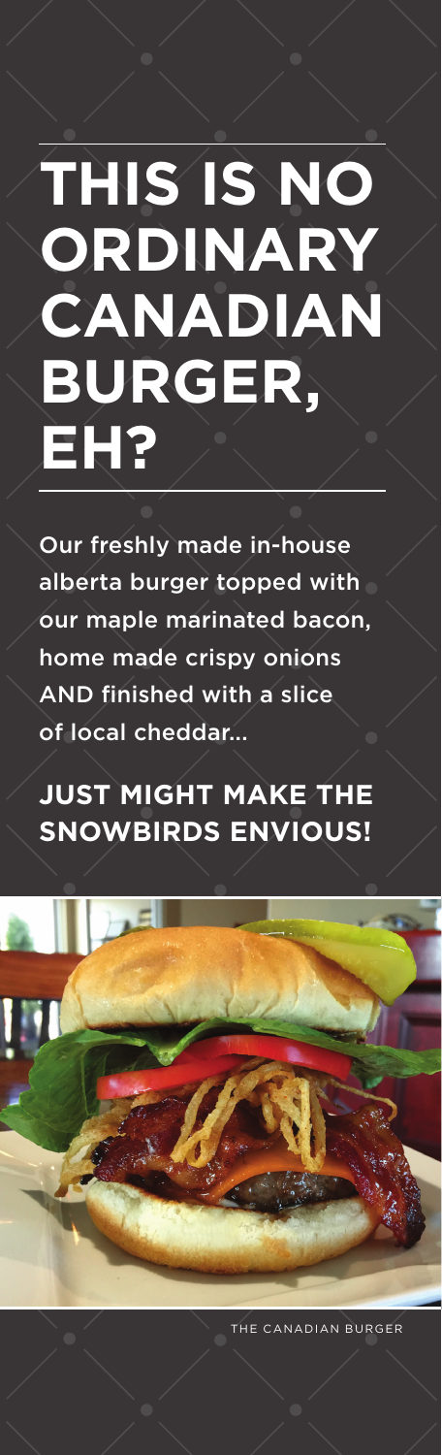# **THIS IS NO ORDINARY CANADIAN BURGER, EH?**

Our freshly made in-house alberta burger topped with our maple marinated bacon, home made crispy onions AND finished with a slice of local cheddar...

**JUST MIGHT MAKE THE SNOWBIRDS ENVIOUS!**



THE CANADIAN BURGER